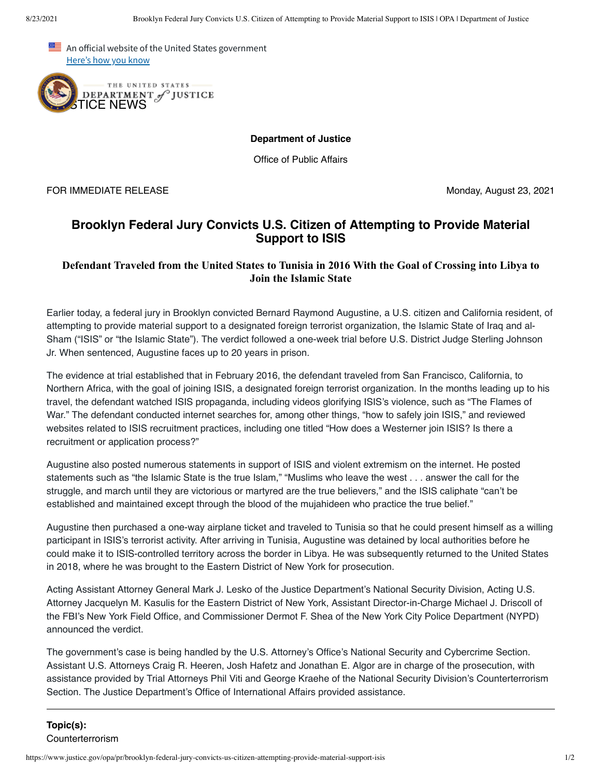An official website of the United States government Here's how you know



**Department of Justice**

Office of Public Affairs

FOR IMMEDIATE RELEASE Monday, August 23, 2021

## **Brooklyn Federal Jury Convicts U.S. Citizen of Attempting to Provide Material Support to ISIS**

## **Defendant Traveled from the United States to Tunisia in 2016 With the Goal of Crossing into Libya to Join the Islamic State**

Earlier today, a federal jury in Brooklyn convicted Bernard Raymond Augustine, a U.S. citizen and California resident, of attempting to provide material support to a designated foreign terrorist organization, the Islamic State of Iraq and al-Sham ("ISIS" or "the Islamic State"). The verdict followed a one-week trial before U.S. District Judge Sterling Johnson Jr. When sentenced, Augustine faces up to 20 years in prison.

The evidence at trial established that in February 2016, the defendant traveled from San Francisco, California, to Northern Africa, with the goal of joining ISIS, a designated foreign terrorist organization. In the months leading up to his travel, the defendant watched ISIS propaganda, including videos glorifying ISIS's violence, such as "The Flames of War." The defendant conducted internet searches for, among other things, "how to safely join ISIS," and reviewed websites related to ISIS recruitment practices, including one titled "How does a Westerner join ISIS? Is there a recruitment or application process?"

Augustine also posted numerous statements in support of ISIS and violent extremism on the internet. He posted statements such as "the Islamic State is the true Islam," "Muslims who leave the west . . . answer the call for the struggle, and march until they are victorious or martyred are the true believers," and the ISIS caliphate "can't be established and maintained except through the blood of the mujahideen who practice the true belief."

Augustine then purchased a one-way airplane ticket and traveled to Tunisia so that he could present himself as a willing participant in ISIS's terrorist activity. After arriving in Tunisia, Augustine was detained by local authorities before he could make it to ISIS-controlled territory across the border in Libya. He was subsequently returned to the United States in 2018, where he was brought to the Eastern District of New York for prosecution.

Acting Assistant Attorney General Mark J. Lesko of the Justice Department's National Security Division, Acting U.S. Attorney Jacquelyn M. Kasulis for the Eastern District of New York, Assistant Director-in-Charge Michael J. Driscoll of the FBI's New York Field Office, and Commissioner Dermot F. Shea of the New York City Police Department (NYPD) announced the verdict.

The government's case is being handled by the U.S. Attorney's Office's National Security and Cybercrime Section. Assistant U.S. Attorneys Craig R. Heeren, Josh Hafetz and Jonathan E. Algor are in charge of the prosecution, with assistance provided by Trial Attorneys Phil Viti and George Kraehe of the National Security Division's Counterterrorism Section. The Justice Department's Office of International Affairs provided assistance.

## **Topic(s):**  Counterterrorism